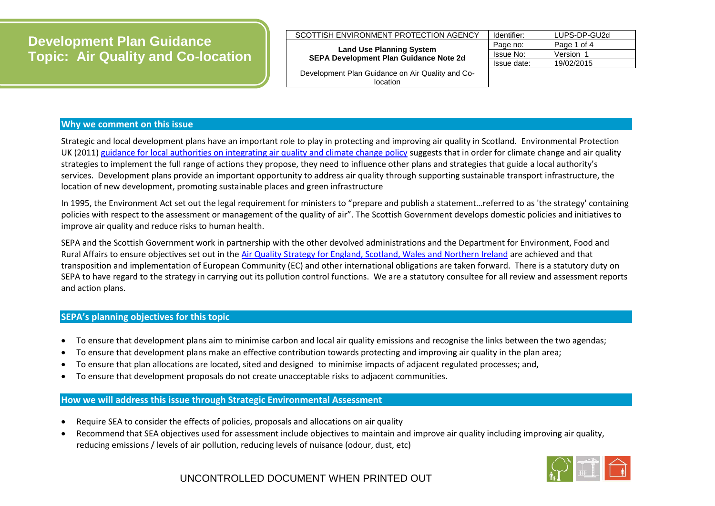# **Development Plan Guidance Topic: Air Quality and Co-location**

| --                                     | Page no:    | Page 1 of 4  |
|----------------------------------------|-------------|--------------|
| SCOTTISH ENVIRONMENT PROTECTION AGENCY | Identifier: | LUPS-DP-GU2d |

#### **Land Use Planning System SEPA Development Plan Guidance Note 2d**

Page no: Page 1 of 4 Issue No: Version 1 Issue date: 19/02/2015

Development Plan Guidance on Air Quality and Colocation

### **Why we comment on this issue**

Strategic and local development plans have an important role to play in protecting and improving air quality in Scotland. Environmental Protection UK (2011[\) guidance for local authorities on integrating air quality and climate change policy](http://www.environmental-protection.org.uk/committees/air-quality/about-air-pollution/air-quality-and-climate-change/) suggests that in order for climate change and air quality strategies to implement the full range of actions they propose, they need to influence other plans and strategies that guide a local authority's services. Development plans provide an important opportunity to address air quality through supporting sustainable transport infrastructure, the location of new development, promoting sustainable places and green infrastructure

In 1995, the Environment Act set out the legal requirement for ministers to "prepare and publish a statement…referred to as 'the strategy' containing policies with respect to the assessment or management of the quality of air". The Scottish Government develops domestic policies and initiatives to improve air quality and reduce risks to human health.

SEPA and the Scottish Government work in partnership with the other devolved administrations and the Department for Environment, Food and Rural Affairs to ensure objectives set out in the [Air Quality Strategy for England, Scotland, Wales and Northern Ireland](https://www.gov.uk/government/publications/the-air-quality-strategy-for-england-scotland-wales-and-northern-ireland-volume-2) are achieved and that transposition and implementation of European Community (EC) and other international obligations are taken forward. There is a statutory duty on SEPA to have regard to the strategy in carrying out its pollution control functions. We are a statutory consultee for all review and assessment reports and action plans.

#### **SEPA's planning objectives for this topic**

- To ensure that development plans aim to minimise carbon and local air quality emissions and recognise the links between the two agendas;
- To ensure that development plans make an effective contribution towards protecting and improving air quality in the plan area;
- To ensure that plan allocations are located, sited and designed to minimise impacts of adjacent regulated processes; and,
- To ensure that development proposals do not create unacceptable risks to adjacent communities.

#### **How we will address this issue through Strategic Environmental Assessment**

- Require SEA to consider the effects of policies, proposals and allocations on air quality
- Recommend that SEA objectives used for assessment include objectives to maintain and improve air quality including improving air quality, reducing emissions / levels of air pollution, reducing levels of nuisance (odour, dust, etc)

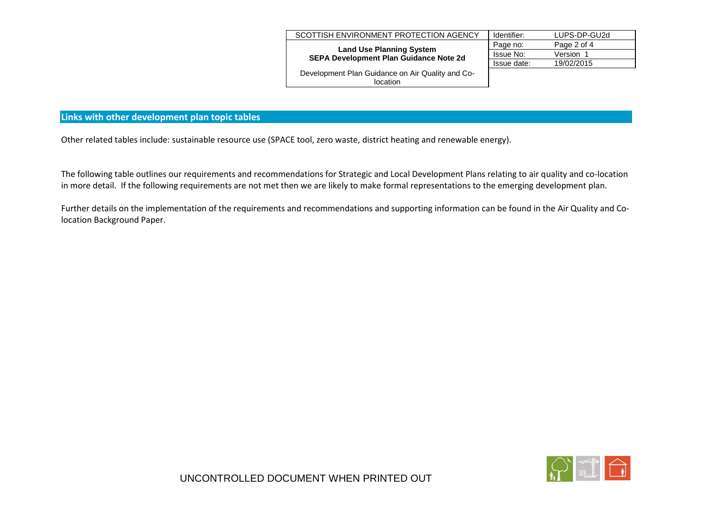| SCOTTISH ENVIRONMENT PROTECTION AGENCY                                    | Identifier: | LUPS-DP-GU2d |
|---------------------------------------------------------------------------|-------------|--------------|
| <b>Land Use Planning System</b><br>SEPA Development Plan Guidance Note 2d | Page no:    | Page 2 of 4  |
|                                                                           | Issue No:   | Version      |
|                                                                           | Issue date: | 19/02/2015   |
| Development Plan Guidance on Air Quality and Co-                          |             |              |
| location                                                                  |             |              |
|                                                                           |             |              |

#### **Links with other development plan topic tables**

Other related tables include: sustainable resource use (SPACE tool, zero waste, district heating and renewable energy).

The following table outlines our requirements and recommendations for Strategic and Local Development Plans relating to air quality and co-location in more detail. If the following requirements are not met then we are likely to make formal representations to the emerging development plan.

Further details on the implementation of the requirements and recommendations and supporting information can be found in the Air Quality and Colocation Background Paper.

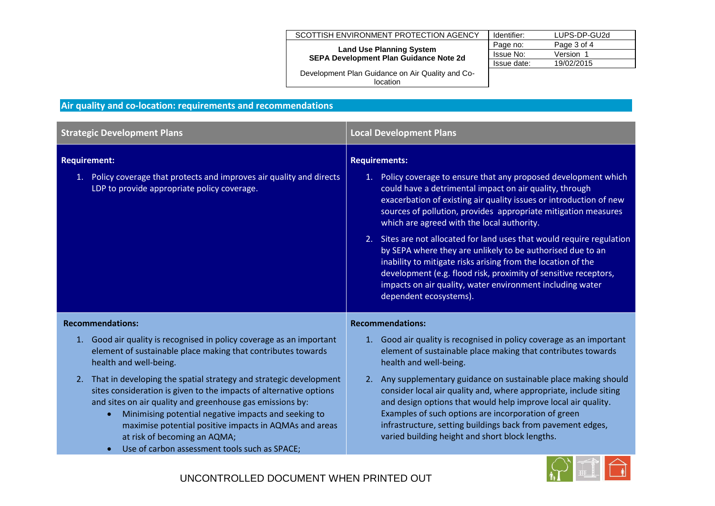| SCOTTISH ENVIRONMENT PROTECTION AGENCY                                           | Identifier: | LUPS-DP-GU2d |
|----------------------------------------------------------------------------------|-------------|--------------|
| <b>Land Use Planning System</b><br><b>SEPA Development Plan Guidance Note 2d</b> | Page no:    | Page 3 of 4  |
|                                                                                  | Issue No:   | Version 1    |
|                                                                                  | Issue date: | 19/02/2015   |
| Development Plan Guidance on Air Quality and Co-<br>location                     |             |              |

## **Air quality and co-location: requirements and recommendations**

| <b>Strategic Development Plans</b>                                                                                                                                                                                                                                                                                                                                                                                                   | <b>Local Development Plans</b>                                                                                                                                                                                                                                                                                                                                                  |
|--------------------------------------------------------------------------------------------------------------------------------------------------------------------------------------------------------------------------------------------------------------------------------------------------------------------------------------------------------------------------------------------------------------------------------------|---------------------------------------------------------------------------------------------------------------------------------------------------------------------------------------------------------------------------------------------------------------------------------------------------------------------------------------------------------------------------------|
| <b>Requirement:</b>                                                                                                                                                                                                                                                                                                                                                                                                                  | <b>Requirements:</b>                                                                                                                                                                                                                                                                                                                                                            |
| 1. Policy coverage that protects and improves air quality and directs<br>LDP to provide appropriate policy coverage.                                                                                                                                                                                                                                                                                                                 | 1. Policy coverage to ensure that any proposed development which<br>could have a detrimental impact on air quality, through<br>exacerbation of existing air quality issues or introduction of new<br>sources of pollution, provides appropriate mitigation measures<br>which are agreed with the local authority.                                                               |
|                                                                                                                                                                                                                                                                                                                                                                                                                                      | 2. Sites are not allocated for land uses that would require regulation<br>by SEPA where they are unlikely to be authorised due to an<br>inability to mitigate risks arising from the location of the<br>development (e.g. flood risk, proximity of sensitive receptors,<br>impacts on air quality, water environment including water<br>dependent ecosystems).                  |
| <b>Recommendations:</b>                                                                                                                                                                                                                                                                                                                                                                                                              | <b>Recommendations:</b>                                                                                                                                                                                                                                                                                                                                                         |
| 1. Good air quality is recognised in policy coverage as an important<br>element of sustainable place making that contributes towards<br>health and well-being.                                                                                                                                                                                                                                                                       | 1. Good air quality is recognised in policy coverage as an important<br>element of sustainable place making that contributes towards<br>health and well-being.                                                                                                                                                                                                                  |
| 2. That in developing the spatial strategy and strategic development<br>sites consideration is given to the impacts of alternative options<br>and sites on air quality and greenhouse gas emissions by:<br>Minimising potential negative impacts and seeking to<br>$\bullet$<br>maximise potential positive impacts in AQMAs and areas<br>at risk of becoming an AQMA;<br>Use of carbon assessment tools such as SPACE;<br>$\bullet$ | 2. Any supplementary guidance on sustainable place making should<br>consider local air quality and, where appropriate, include siting<br>and design options that would help improve local air quality.<br>Examples of such options are incorporation of green<br>infrastructure, setting buildings back from pavement edges,<br>varied building height and short block lengths. |